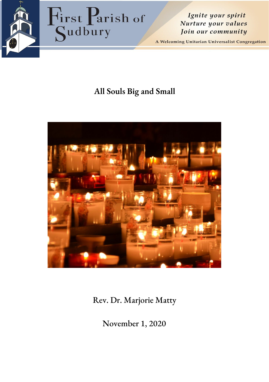

Ignite your spirit Nurture your values Join our community

A Welcoming Unitarian Universalist Congregation

# **All Souls Big and Small**



Rev. Dr. Marjorie Matty

November 1, 2020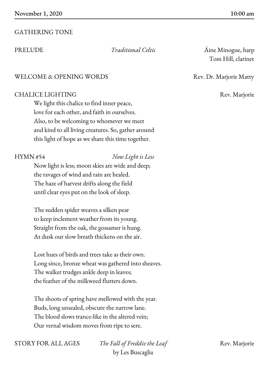# GATHERING TONE

## WELCOME & OPENING WORDS Rev. Dr. Marjorie Matty

### CHALICE LIGHTING Rev. Marjorie

We light this chalice to find inner peace, love for each other, and faith in ourselves. Also, to be welcoming to whomever we meet and kind to all living creatures. So, gather around this light of hope as we share this time together.

#### HYMN #54 *Now Light is Less*

Now light is less; moon skies are wide and deep; the ravages of wind and rain are healed. The haze of harvest drifts along the field until clear eyes put on the look of sleep.

The sudden spider weaves a silken pear to keep inclement weather from its young. Straight from the oak, the gossamer is hung. At dusk our slow breath thickens on the air.

Lost hues of birds and trees take as their own. Long since, bronze wheat was gathered into sheaves. The walker trudges ankle deep in leaves; the feather of the milkweed flutters down.

The shoots of spring have mellowed with the year. Buds, long unsealed, obscure the narrow lane. The blood slows trance-like in the altered vein; Our vernal wisdom moves from ripe to sere.

STORY FOR ALL AGES *The Fall of Freddie the Leaf* Rev. Marjorie by Les Buscaglia

PRELUDE *Traditional Celtic* Aine Minogue, harp Tom Hill, clarinet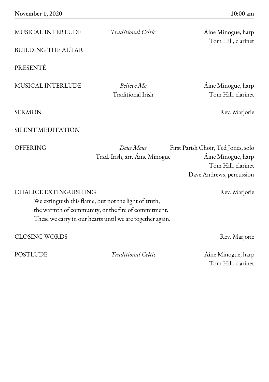MUSICAL INTERLUDE *Traditional Celtic* Áine Minogue, harp

BUILDING THE ALTAR

PRESENTÉ

MUSICAL INTERLUDE *Believe Me* Áine Minogue, harp

Tom Hill, clarinet

Traditional Irish Tom Hill, clarinet

SILENT MEDITATION

SERMON Rev. Marjorie

OFFERING *Deus Meus* First Parish Choir, Ted Jones, solo Trad. Irish, arr. Áine Minogue Áine Minogue, harp Tom Hill, clarinet Dave Andrews, percussion

CHALICE EXTINGUISHING Rev. Marjorie We extinguish this flame, but not the light of truth, the warmth of community, or the fire of commitment. These we carry in our hearts until we are together again. CLOSING WORDS Rev. Marjorie

POSTLUDE *Traditional Celtic* Áine Minogue, harp Tom Hill, clarinet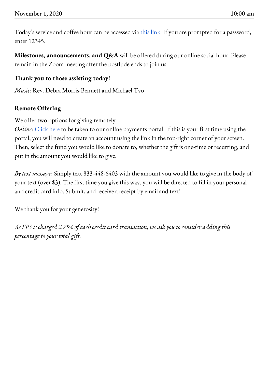Today's service and coffee hour can be accessed via this [link](https://zoom.us/j/5707250834). If you are prompted for a password, enter 12345.

**Milestones, announcements, and Q&A** will be offered during our online social hour. Please remain in the Zoom meeting after the postlude ends to join us.

# **Thank you to those assisting today!**

*Music:* Rev. Debra Morris-Bennett and Michael Tyo

# **Remote Offering**

We offer two options for giving remotely.

*Online*: [Click](https://gp.vancopayments.com/gpo/#/donateNow/5bb8e8a5-ce0f-4409-894d-d4217da) here to be taken to our online payments portal. If this is your first time using the portal, you will need to create an account using the link in the top-right corner of your screen. Then, select the fund you would like to donate to, whether the gift is one-time or recurring, and put in the amount you would like to give.

*By text message*: Simply text 833-448-6403 with the amount you would like to give in the body of your text (over \$3). The first time you give this way, you will be directed to fill in your personal and credit card info. Submit, and receive a receipt by email and text!

We thank you for your generosity!

*As FPS is charged 2.75% of each credit card transaction, we ask you to consider adding this percentage to your total gift.*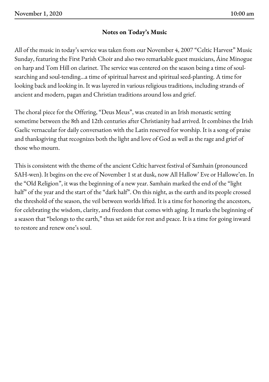# **Notes on Today's Music**

All of the music in today's service was taken from our November 4, 2007 "Celtic Harvest" Music Sunday, featuring the First Parish Choir and also two remarkable guest musicians, Áine Minogue on harp and Tom Hill on clarinet. The service was centered on the season being a time of soulsearching and soul-tending…a time of spiritual harvest and spiritual seed-planting. A time for looking back and looking in. It was layered in various religious traditions, including strands of ancient and modern, pagan and Christian traditions around loss and grief.

The choral piece for the Offering, "Deus Meus", was created in an Irish monastic setting sometime between the 8th and 12th centuries after Christianity had arrived. It combines the Irish Gaelic vernacular for daily conversation with the Latin reserved for worship. It is a song of praise and thanksgiving that recognizes both the light and love of God as well as the rage and grief of those who mourn.

This is consistent with the theme of the ancient Celtic harvest festival of Samhain (pronounced SAH-wen). It begins on the eve of November 1 st at dusk, now All Hallow' Eve or Hallowe'en. In the "Old Religion", it was the beginning of a new year. Samhain marked the end of the "light half" of the year and the start of the "dark half". On this night, as the earth and its people crossed the threshold of the season, the veil between worlds lifted. It is a time for honoring the ancestors, for celebrating the wisdom, clarity, and freedom that comes with aging. It marks the beginning of a season that "belongs to the earth," thus set aside for rest and peace. It is a time for going inward to restore and renew one's soul.